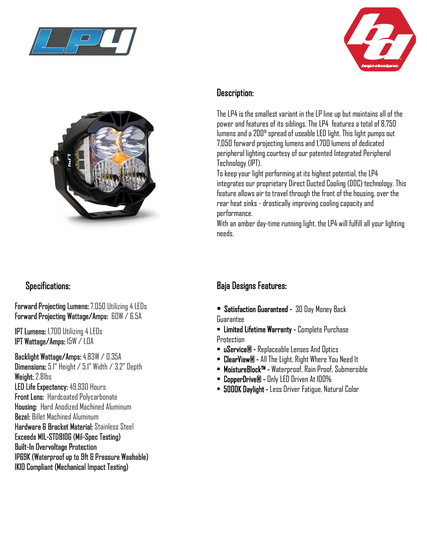





# Specifications:

Forward Projecting Lumens: 7,050 Utilizing 4 LEDs Forward Projecting Wattage/Amps: 60W / 6.5A

IPT Lumens: 1,700 Utilizing 4 LEDs IPT Wattage/Amps: 15W / 1.0A

Backlight Wattage/Amps: 4.83W / 0.35A Dimensions: 5.1" Height / 5.1" Width / 3.2" Depth Weight: 2.8lbs LED Life Expectancy: 49,930 Hours Front Lens: Hardcoated Polycarbonate Housing: Hard Anodized Machined Aluminum Bezel: Billet Machined Aluminum Hardware & Bracket Material: Stainless Steel Exceeds MIL-STD810G (Mil-Spec Testing) Built-In Overvoltage Protection IP69K (Waterproof up to 9ft & Pressure Washable) IK10 Compliant (Mechanical Impact Testing)

### Description:

The LP4 is the smallest variant in the LP line up but maintains all of the power and features of its siblings. The LP4 features a total of 8,750 lumens and a 200° spread of useable LED light. This light pumps out 7,050 forward projecting lumens and 1,700 lumens of dedicated peripheral lighting courtesy of our patented Integrated Peripheral Technology (IPT).

To keep your light performing at its highest potential, the LP4 integrates our proprietary Direct Ducted Cooling (DDC) technology. This feature allows air to travel through the front of the housing, over the rear heat sinks - drastically improving cooling capacity and performance.

With an amber day-time running light, the LP4 will fulfill all your lighting needs.

# Baja Designs Features:

- Satisfaction Guaranteed 30 Day Money Back Guarantee
- Limited Lifetime Warranty Complete Purchase Protection
- uService® Replaceable Lenses And Optics
- ClearView® All The Light, Right Where You Need It
- MoistureBlock™ Waterproof, Rain Proof, Submersible
- CopperDrive® Only LED Driven At 100%
- 5000K Daylight Less Driver Fatigue, Natural Color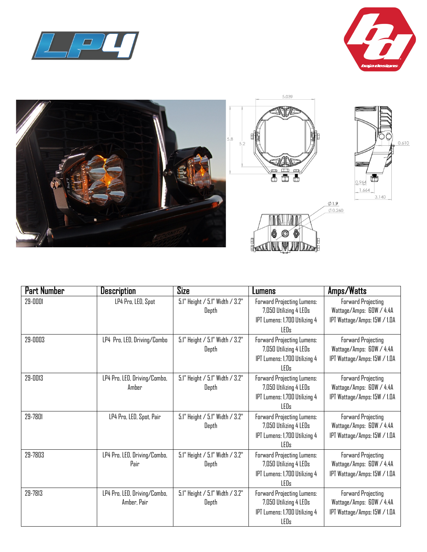





| Part Number | <b>Description</b>                          | Size                                     | Lumens                                                                                                      | Amps/Watts                                                                            |
|-------------|---------------------------------------------|------------------------------------------|-------------------------------------------------------------------------------------------------------------|---------------------------------------------------------------------------------------|
| 29-0001     | LP4 Pro, LED, Spot                          | 5.1" Height / 5.1" Width / 3.2"<br>Depth | Forward Projecting Lumens:<br>7,050 Utilizing 4 LEDs<br>IPT Lumens: 1,700 Utilizing 4<br><b>LEDs</b>        | <b>Forward Projecting</b><br>Wattage/Amps: GOW / 4.4A<br>IPT Wattage/Amps: I5W / I.DA |
| 29-0003     | LP4 Pro, LED, Driving/Combo                 | 5.1" Height / 5.1" Width / 3.2"<br>Depth | Forward Projecting Lumens:<br>7,050 Utilizing 4 LEDs<br>IPT Lumens: 1,700 Utilizing 4<br><b>LEDs</b>        | <b>Forward Projecting</b><br>Wattage/Amps: GOW / 4.4A<br>IPT Wattage/Amps: I5W / I.DA |
| 29-0013     | LP4 Pro, LED, Driving/Combo,<br>Amber       | 5.1" Height / 5.1" Width / 3.2"<br>Depth | Forward Projecting Lumens:<br>7,050 Utilizing 4 LEDs<br>IPT Lumens: 1,700 Utilizing 4<br><b>LEDs</b>        | Forward Projecting<br>Wattage/Amps: GOW / 4.4A<br>IPT Wattage/Amps: I5W / I.DA        |
| 29-7801     | LP4 Pro, LED, Spot, Pair                    | 5.1" Height / 5.1" Width / 3.2"<br>Depth | Forward Projecting Lumens:<br>7,050 Utilizing 4 LEDs<br>IPT Lumens: 1,700 Utilizing 4<br>LEDs               | Forward Projecting<br>Wattage/Amps: GOW / 4.4A<br>IPT Wattage/Amps: I5W / I.DA        |
| 29-7803     | LP4 Pro, LED, Driving/Combo,<br>Pair        | 5.1" Height / 5.1" Width / 3.2"<br>Depth | <b>Forward Projecting Lumens:</b><br>7,050 Utilizing 4 LEDs<br>IPT Lumens: 1,700 Utilizing 4<br>LEDs        | <b>Forward Projecting</b><br>Wattage/Amps: GOW / 4.4A<br>IPT Wattage/Amps: I5W / I.DA |
| 29-7813     | LP4 Pro, LED, Driving/Combo,<br>Amber, Pair | 5.1" Height / 5.1" Width / 3.2"<br>Depth | <b>Forward Projecting Lumens:</b><br>7,050 Utilizing 4 LEDs<br>IPT Lumens: 1,700 Utilizing 4<br><b>LEDs</b> | <b>Forward Projecting</b><br>Wattage/Amps: GOW / 4.4A<br>IPT Wattage/Amps: I5W / I.DA |